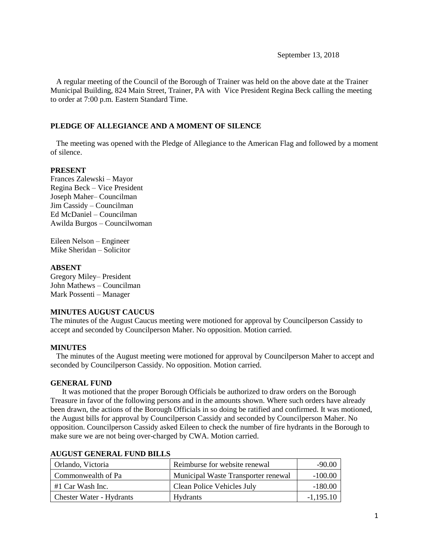September 13, 2018

 A regular meeting of the Council of the Borough of Trainer was held on the above date at the Trainer Municipal Building, 824 Main Street, Trainer, PA with Vice President Regina Beck calling the meeting to order at 7:00 p.m. Eastern Standard Time.

# **PLEDGE OF ALLEGIANCE AND A MOMENT OF SILENCE**

 The meeting was opened with the Pledge of Allegiance to the American Flag and followed by a moment of silence.

# **PRESENT**

Frances Zalewski – Mayor Regina Beck – Vice President Joseph Maher– Councilman Jim Cassidy – Councilman Ed McDaniel – Councilman Awilda Burgos – Councilwoman

Eileen Nelson – Engineer Mike Sheridan – Solicitor

# **ABSENT**

Gregory Miley– President John Mathews – Councilman Mark Possenti – Manager

# **MINUTES AUGUST CAUCUS**

The minutes of the August Caucus meeting were motioned for approval by Councilperson Cassidy to accept and seconded by Councilperson Maher. No opposition. Motion carried.

# **MINUTES**

The minutes of the August meeting were motioned for approval by Councilperson Maher to accept and seconded by Councilperson Cassidy. No opposition. Motion carried.

# **GENERAL FUND**

 It was motioned that the proper Borough Officials be authorized to draw orders on the Borough Treasure in favor of the following persons and in the amounts shown. Where such orders have already been drawn, the actions of the Borough Officials in so doing be ratified and confirmed. It was motioned, the August bills for approval by Councilperson Cassidy and seconded by Councilperson Maher. No opposition. Councilperson Cassidy asked Eileen to check the number of fire hydrants in the Borough to make sure we are not being over-charged by CWA. Motion carried.

| Orlando, Victoria               | Reimburse for website renewal       | $-90.00$    |
|---------------------------------|-------------------------------------|-------------|
| Commonwealth of Pa              | Municipal Waste Transporter renewal | $-100.00$   |
| #1 Car Wash Inc.                | Clean Police Vehicles July          | $-180.00$   |
| <b>Chester Water - Hydrants</b> | <b>Hydrants</b>                     | $-1,195.10$ |

# **AUGUST GENERAL FUND BILLS**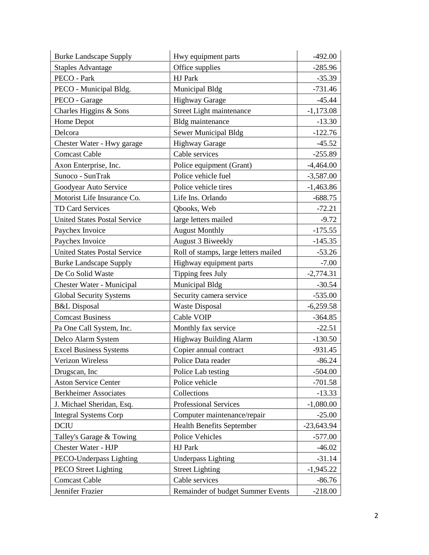| <b>Burke Landscape Supply</b>       | Hwy equipment parts                  | $-492.00$    |
|-------------------------------------|--------------------------------------|--------------|
| <b>Staples Advantage</b>            | Office supplies                      | $-285.96$    |
| PECO - Park                         | HJ Park                              | $-35.39$     |
| PECO - Municipal Bldg.              | Municipal Bldg                       | $-731.46$    |
| PECO - Garage                       | <b>Highway Garage</b>                | $-45.44$     |
| Charles Higgins & Sons              | Street Light maintenance             | $-1,173.08$  |
| Home Depot                          | Bldg maintenance                     | $-13.30$     |
| Delcora                             | Sewer Municipal Bldg                 | $-122.76$    |
| Chester Water - Hwy garage          | <b>Highway Garage</b>                | $-45.52$     |
| <b>Comcast Cable</b>                | Cable services                       | $-255.89$    |
| Axon Enterprise, Inc.               | Police equipment (Grant)             | $-4,464.00$  |
| Sunoco - SunTrak                    | Police vehicle fuel                  | $-3,587.00$  |
| Goodyear Auto Service               | Police vehicle tires                 | $-1,463.86$  |
| Motorist Life Insurance Co.         | Life Ins. Orlando                    | $-688.75$    |
| TD Card Services                    | Qbooks, Web                          | $-72.21$     |
| <b>United States Postal Service</b> | large letters mailed                 | $-9.72$      |
| Paychex Invoice                     | <b>August Monthly</b>                | $-175.55$    |
| Paychex Invoice                     | <b>August 3 Biweekly</b>             | $-145.35$    |
| <b>United States Postal Service</b> | Roll of stamps, large letters mailed | $-53.26$     |
| <b>Burke Landscape Supply</b>       | Highway equipment parts              | $-7.00$      |
| De Co Solid Waste                   | Tipping fees July                    | $-2,774.31$  |
| Chester Water - Municipal           | Municipal Bldg                       | $-30.54$     |
| <b>Global Security Systems</b>      | Security camera service              | $-535.00$    |
| <b>B&amp;L</b> Disposal             | <b>Waste Disposal</b>                | $-6,259.58$  |
| <b>Comcast Business</b>             | Cable VOIP                           | $-364.85$    |
| Pa One Call System, Inc.            | Monthly fax service                  | $-22.51$     |
| Delco Alarm System                  | <b>Highway Building Alarm</b>        | $-130.50$    |
| <b>Excel Business Systems</b>       | Copier annual contract               | $-931.45$    |
| Verizon Wireless                    | Police Data reader                   | $-86.24$     |
| Drugscan, Inc.                      | Police Lab testing                   | $-504.00$    |
| <b>Aston Service Center</b>         | Police vehicle                       | $-701.58$    |
| <b>Berkheimer Associates</b>        | Collections                          | $-13.33$     |
| J. Michael Sheridan, Esq.           | Professional Services                | $-1,080.00$  |
| <b>Integral Systems Corp</b>        | Computer maintenance/repair          | $-25.00$     |
| <b>DCIU</b>                         | <b>Health Benefits September</b>     | $-23,643.94$ |
| Talley's Garage & Towing            | Police Vehicles                      | $-577.00$    |
| Chester Water - HJP                 | HJ Park                              | $-46.02$     |
| PECO-Underpass Lighting             | <b>Underpass Lighting</b>            | $-31.14$     |
| <b>PECO</b> Street Lighting         | <b>Street Lighting</b>               | $-1,945.22$  |
| <b>Comcast Cable</b>                | Cable services                       | $-86.76$     |
| Jennifer Frazier                    | Remainder of budget Summer Events    | $-218.00$    |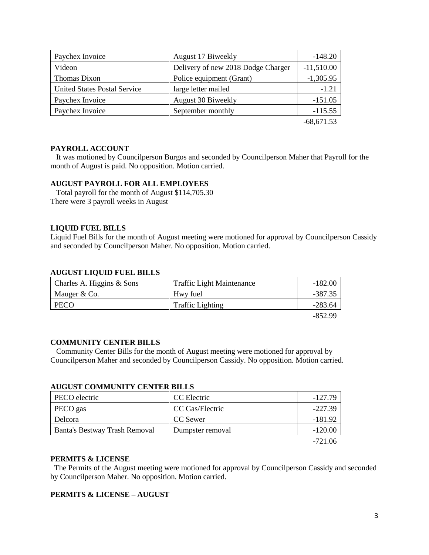| Paychex Invoice                     | August 17 Biweekly                 | $-148.20$    |
|-------------------------------------|------------------------------------|--------------|
| Videon                              | Delivery of new 2018 Dodge Charger | $-11,510.00$ |
| Thomas Dixon                        | Police equipment (Grant)           | $-1,305.95$  |
| <b>United States Postal Service</b> | large letter mailed                | $-1.21$      |
| Paychex Invoice                     | August 30 Biweekly                 | $-151.05$    |
| Paychex Invoice                     | September monthly                  | $-115.55$    |
|                                     |                                    | $-68,671,53$ |

# **PAYROLL ACCOUNT**

 It was motioned by Councilperson Burgos and seconded by Councilperson Maher that Payroll for the month of August is paid. No opposition. Motion carried.

# **AUGUST PAYROLL FOR ALL EMPLOYEES**

 Total payroll for the month of August \$114,705.30 There were 3 payroll weeks in August

# **LIQUID FUEL BILLS**

Liquid Fuel Bills for the month of August meeting were motioned for approval by Councilperson Cassidy and seconded by Councilperson Maher. No opposition. Motion carried.

#### **AUGUST LIQUID FUEL BILLS**

| Charles A. Higgins $& Sons$ | <b>Traffic Light Maintenance</b> | $-182.00$ |
|-----------------------------|----------------------------------|-----------|
| Mauger & Co.                | Hwy fuel                         | -387.35   |
| PECO                        | <b>Traffic Lighting</b>          | $-283.64$ |
|                             |                                  | -852.99   |

#### **COMMUNITY CENTER BILLS**

 Community Center Bills for the month of August meeting were motioned for approval by Councilperson Maher and seconded by Councilperson Cassidy. No opposition. Motion carried.

| ACQUE COMMUNITY CENTER DIEED  |                  |           |
|-------------------------------|------------------|-----------|
| PECO electric                 | CC Electric      | -127.79   |
| PECO gas                      | CC Gas/Electric  | $-227.39$ |
| Delcora                       | CC Sewer         | -181.92   |
| Banta's Bestway Trash Removal | Dumpster removal | $-120.00$ |
|                               |                  | -----     |

# **AUGUST COMMUNITY CENTER BILLS**

-721.06

#### **PERMITS & LICENSE**

The Permits of the August meeting were motioned for approval by Councilperson Cassidy and seconded by Councilperson Maher. No opposition. Motion carried.

#### **PERMITS & LICENSE – AUGUST**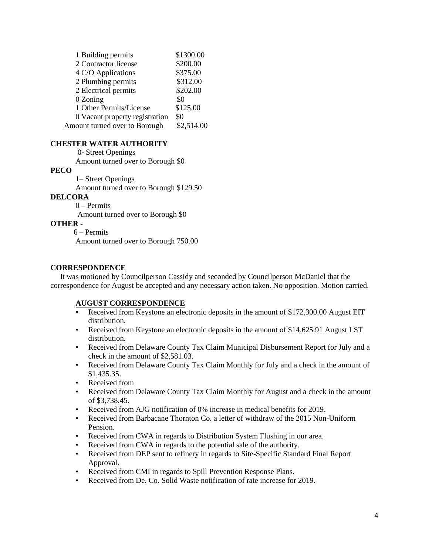| 1 Building permits             | \$1300.00  |
|--------------------------------|------------|
| 2 Contractor license           | \$200.00   |
| 4 C/O Applications             | \$375.00   |
| 2 Plumbing permits             | \$312.00   |
| 2 Electrical permits           | \$202.00   |
| 0 Zoning                       | \$0        |
| 1 Other Permits/License        | \$125.00   |
| 0 Vacant property registration | \$0        |
| Amount turned over to Borough  | \$2,514.00 |

#### **CHESTER WATER AUTHORITY**

0- Street Openings

Amount turned over to Borough \$0

#### **PECO**

1– Street Openings

Amount turned over to Borough \$129.50

# **DELCORA**

0 – Permits

Amount turned over to Borough \$0

# **OTHER -**

6 – Permits

Amount turned over to Borough 750.00

#### **CORRESPONDENCE**

 It was motioned by Councilperson Cassidy and seconded by Councilperson McDaniel that the correspondence for August be accepted and any necessary action taken. No opposition. Motion carried.

# **AUGUST CORRESPONDENCE**

- Received from Keystone an electronic deposits in the amount of \$172,300.00 August EIT distribution.
- Received from Keystone an electronic deposits in the amount of \$14,625.91 August LST distribution.
- Received from Delaware County Tax Claim Municipal Disbursement Report for July and a check in the amount of \$2,581.03.
- Received from Delaware County Tax Claim Monthly for July and a check in the amount of \$1,435.35.
- Received from
- Received from Delaware County Tax Claim Monthly for August and a check in the amount of \$3,738.45.
- Received from AJG notification of 0% increase in medical benefits for 2019.
- Received from Barbacane Thornton Co. a letter of withdraw of the 2015 Non-Uniform Pension.
- Received from CWA in regards to Distribution System Flushing in our area.
- Received from CWA in regards to the potential sale of the authority.
- Received from DEP sent to refinery in regards to Site-Specific Standard Final Report Approval.
- Received from CMI in regards to Spill Prevention Response Plans.
- Received from De. Co. Solid Waste notification of rate increase for 2019.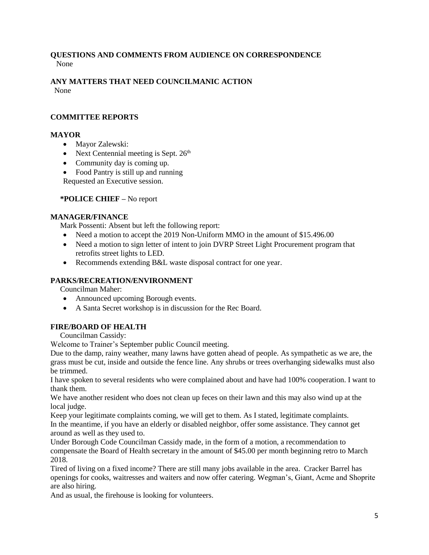# **QUESTIONS AND COMMENTS FROM AUDIENCE ON CORRESPONDENCE** None

#### **ANY MATTERS THAT NEED COUNCILMANIC ACTION**  None

# **COMMITTEE REPORTS**

# **MAYOR**

- Mayor Zalewski:
- Next Centennial meeting is Sept.  $26<sup>th</sup>$
- Community day is coming up.
- Food Pantry is still up and running

Requested an Executive session.

# **\*POLICE CHIEF –** No report

# **MANAGER/FINANCE**

Mark Possenti: Absent but left the following report:

- Need a motion to accept the 2019 Non-Uniform MMO in the amount of \$15.496.00
- Need a motion to sign letter of intent to join DVRP Street Light Procurement program that retrofits street lights to LED.
- Recommends extending B&L waste disposal contract for one year.

# **PARKS/RECREATION/ENVIRONMENT**

Councilman Maher:

- Announced upcoming Borough events.
- A Santa Secret workshop is in discussion for the Rec Board.

# **FIRE/BOARD OF HEALTH**

Councilman Cassidy:

Welcome to Trainer's September public Council meeting.

Due to the damp, rainy weather, many lawns have gotten ahead of people. As sympathetic as we are, the grass must be cut, inside and outside the fence line. Any shrubs or trees overhanging sidewalks must also be trimmed.

I have spoken to several residents who were complained about and have had 100% cooperation. I want to thank them.

We have another resident who does not clean up feces on their lawn and this may also wind up at the local judge.

Keep your legitimate complaints coming, we will get to them. As I stated, legitimate complaints. In the meantime, if you have an elderly or disabled neighbor, offer some assistance. They cannot get around as well as they used to.

Under Borough Code Councilman Cassidy made, in the form of a motion, a recommendation to compensate the Board of Health secretary in the amount of \$45.00 per month beginning retro to March 2018.

Tired of living on a fixed income? There are still many jobs available in the area. Cracker Barrel has openings for cooks, waitresses and waiters and now offer catering. Wegman's, Giant, Acme and Shoprite are also hiring.

And as usual, the firehouse is looking for volunteers.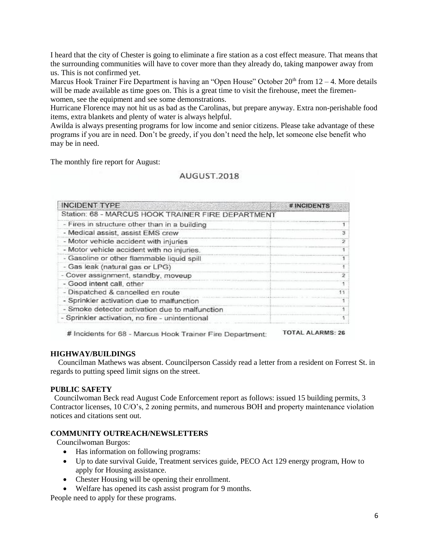I heard that the city of Chester is going to eliminate a fire station as a cost effect measure. That means that the surrounding communities will have to cover more than they already do, taking manpower away from us. This is not confirmed yet.

Marcus Hook Trainer Fire Department is having an "Open House" October  $20<sup>th</sup>$  from  $12 - 4$ . More details will be made available as time goes on. This is a great time to visit the firehouse, meet the firemenwomen, see the equipment and see some demonstrations.

Hurricane Florence may not hit us as bad as the Carolinas, but prepare anyway. Extra non-perishable food items, extra blankets and plenty of water is always helpful.

Awilda is always presenting programs for low income and senior citizens. Please take advantage of these programs if you are in need. Don't be greedy, if you don't need the help, let someone else benefit who may be in need.

The monthly fire report for August:

# AUGUST 2018

| <b>INCIDENT TYPE</b>                              | # INCIDENTS |
|---------------------------------------------------|-------------|
| Station: 68 - MARCUS HOOK TRAINER FIRE DEPARTMENT |             |
| - Fires in structure other than in a building     |             |
| - Medical assist, assist EMS crew                 | я           |
| - Motor vehicle accident with injuries            |             |
| - Motor vehicle accident with no injuries.        |             |
| - Gasoline or other flammable liquid spill        |             |
| - Gas leak (natural gas or LPG)                   |             |
| Cover assignment, standby, moveup                 |             |
| - Good intent call, other                         |             |
| - Dispatched & cancelled en route                 |             |
| - Sprinkler activation due to malfunction         |             |
| - Smoke detector activation due to malfunction    |             |
| - Sprinkler activation, no fire - unintentional   |             |

**TOTAL ALARMS: 26** # Incidents for 68 - Marcus Hook Trainer Fire Department:

#### **HIGHWAY/BUILDINGS**

 Councilman Mathews was absent. Councilperson Cassidy read a letter from a resident on Forrest St. in regards to putting speed limit signs on the street.

#### **PUBLIC SAFETY**

 Councilwoman Beck read August Code Enforcement report as follows: issued 15 building permits, 3 Contractor licenses, 10 C/O's, 2 zoning permits, and numerous BOH and property maintenance violation notices and citations sent out.

#### **COMMUNITY OUTREACH/NEWSLETTERS**

Councilwoman Burgos:

- Has information on following programs:
- Up to date survival Guide, Treatment services guide, PECO Act 129 energy program, How to apply for Housing assistance.
- Chester Housing will be opening their enrollment.
- Welfare has opened its cash assist program for 9 months.

People need to apply for these programs.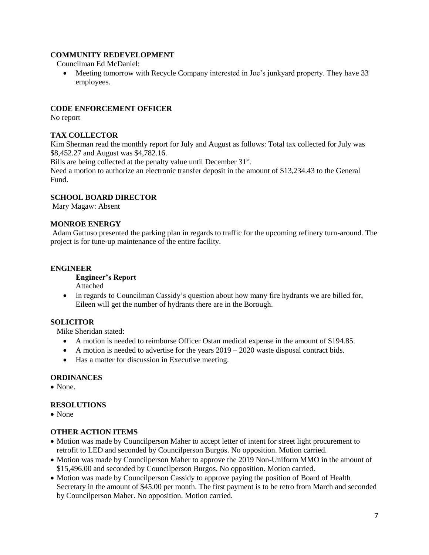# **COMMUNITY REDEVELOPMENT**

Councilman Ed McDaniel:

• Meeting tomorrow with Recycle Company interested in Joe's junkyard property. They have 33 employees.

# **CODE ENFORCEMENT OFFICER**

No report

# **TAX COLLECTOR**

Kim Sherman read the monthly report for July and August as follows: Total tax collected for July was \$8,452.27 and August was \$4,782.16.

Bills are being collected at the penalty value until December 31<sup>st</sup>.

Need a motion to authorize an electronic transfer deposit in the amount of \$13,234.43 to the General Fund.

# **SCHOOL BOARD DIRECTOR**

Mary Magaw: Absent

#### **MONROE ENERGY**

Adam Gattuso presented the parking plan in regards to traffic for the upcoming refinery turn-around. The project is for tune-up maintenance of the entire facility.

# **ENGINEER**

**Engineer's Report** Attached

• In regards to Councilman Cassidy's question about how many fire hydrants we are billed for, Eileen will get the number of hydrants there are in the Borough.

# **SOLICITOR**

Mike Sheridan stated:

- A motion is needed to reimburse Officer Ostan medical expense in the amount of \$194.85.
- A motion is needed to advertise for the years  $2019 2020$  waste disposal contract bids.
- Has a matter for discussion in Executive meeting.

# **ORDINANCES**

• None

# **RESOLUTIONS**

• None

# **OTHER ACTION ITEMS**

- Motion was made by Councilperson Maher to accept letter of intent for street light procurement to retrofit to LED and seconded by Councilperson Burgos. No opposition. Motion carried.
- Motion was made by Councilperson Maher to approve the 2019 Non-Uniform MMO in the amount of \$15,496.00 and seconded by Councilperson Burgos. No opposition. Motion carried.
- Motion was made by Councilperson Cassidy to approve paying the position of Board of Health Secretary in the amount of \$45.00 per month. The first payment is to be retro from March and seconded by Councilperson Maher. No opposition. Motion carried.